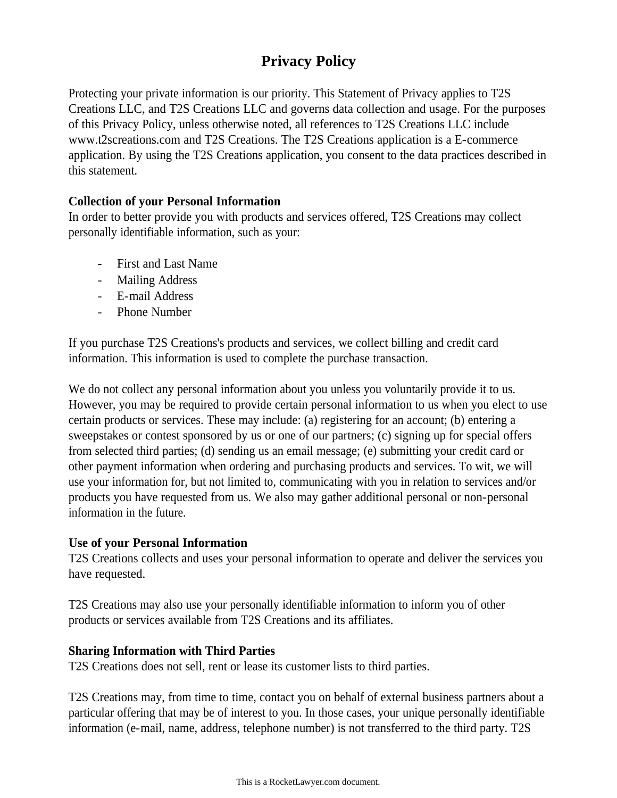# **Privacy Policy**

Protecting your private information is our priority. This Statement of Privacy applies to T2S Creations LLC, and T2S Creations LLC and governs data collection and usage. For the purposes of this Privacy Policy, unless otherwise noted, all references to T2S Creations LLC include www.t2screations.com and T2S Creations. The T2S Creations application is a E-commerce application. By using the T2S Creations application, you consent to the data practices described in this statement.

## **Collection of your Personal Information**

In order to better provide you with products and services offered, T2S Creations may collect personally identifiable information, such as your:

- First and Last Name
- Mailing Address
- E-mail Address
- Phone Number

If you purchase T2S Creations's products and services, we collect billing and credit card information. This information is used to complete the purchase transaction.

We do not collect any personal information about you unless you voluntarily provide it to us. However, you may be required to provide certain personal information to us when you elect to use certain products or services. These may include: (a) registering for an account; (b) entering a sweepstakes or contest sponsored by us or one of our partners; (c) signing up for special offers from selected third parties; (d) sending us an email message; (e) submitting your credit card or other payment information when ordering and purchasing products and services. To wit, we will use your information for, but not limited to, communicating with you in relation to services and/or products you have requested from us. We also may gather additional personal or non-personal information in the future.

## **Use of your Personal Information**

T2S Creations collects and uses your personal information to operate and deliver the services you have requested.

T2S Creations may also use your personally identifiable information to inform you of other products or services available from T2S Creations and its affiliates.

## **Sharing Information with Third Parties**

T2S Creations does not sell, rent or lease its customer lists to third parties.

T2S Creations may, from time to time, contact you on behalf of external business partners about a particular offering that may be of interest to you. In those cases, your unique personally identifiable information (e-mail, name, address, telephone number) is not transferred to the third party. T2S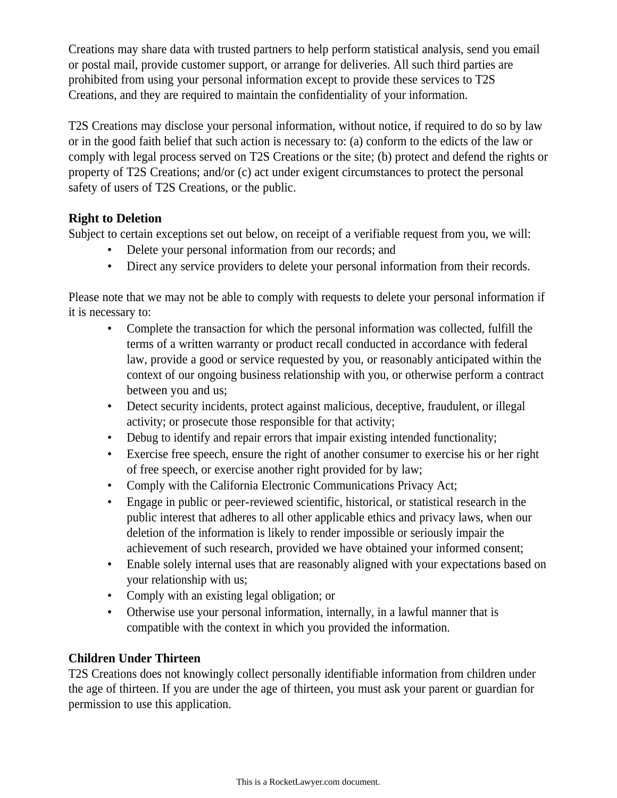Creations may share data with trusted partners to help perform statistical analysis, send you email or postal mail, provide customer support, or arrange for deliveries. All such third parties are prohibited from using your personal information except to provide these services to T2S Creations, and they are required to maintain the confidentiality of your information.

T2S Creations may disclose your personal information, without notice, if required to do so by law or in the good faith belief that such action is necessary to: (a) conform to the edicts of the law or comply with legal process served on T2S Creations or the site; (b) protect and defend the rights or property of T2S Creations; and/or (c) act under exigent circumstances to protect the personal safety of users of T2S Creations, or the public.

## **Right to Deletion**

Subject to certain exceptions set out below, on receipt of a verifiable request from you, we will:

- Delete your personal information from our records; and
- Direct any service providers to delete your personal information from their records.

Please note that we may not be able to comply with requests to delete your personal information if it is necessary to:

- Complete the transaction for which the personal information was collected, fulfill the terms of a written warranty or product recall conducted in accordance with federal law, provide a good or service requested by you, or reasonably anticipated within the context of our ongoing business relationship with you, or otherwise perform a contract between you and us;
- Detect security incidents, protect against malicious, deceptive, fraudulent, or illegal activity; or prosecute those responsible for that activity;
- Debug to identify and repair errors that impair existing intended functionality;
- Exercise free speech, ensure the right of another consumer to exercise his or her right of free speech, or exercise another right provided for by law;
- Comply with the California Electronic Communications Privacy Act;
- Engage in public or peer-reviewed scientific, historical, or statistical research in the public interest that adheres to all other applicable ethics and privacy laws, when our deletion of the information is likely to render impossible or seriously impair the achievement of such research, provided we have obtained your informed consent;
- Enable solely internal uses that are reasonably aligned with your expectations based on your relationship with us;
- Comply with an existing legal obligation; or
- Otherwise use your personal information, internally, in a lawful manner that is compatible with the context in which you provided the information.

## **Children Under Thirteen**

T2S Creations does not knowingly collect personally identifiable information from children under the age of thirteen. If you are under the age of thirteen, you must ask your parent or guardian for permission to use this application.